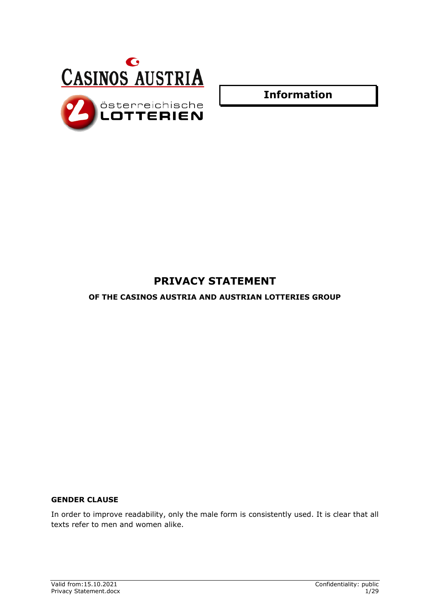



**Information**

# **PRIVACY STATEMENT**

**OF THE CASINOS AUSTRIA AND AUSTRIAN LOTTERIES GROUP**

# **GENDER CLAUSE**

In order to improve readability, only the male form is consistently used. It is clear that all texts refer to men and women alike.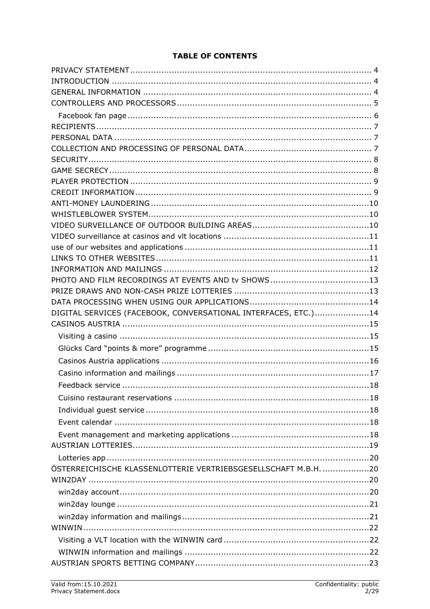# **TABLE OF CONTENTS**

| DIGITAL SERVICES (FACEBOOK, CONVERSATIONAL INTERFACES, ETC.)14  |  |
|-----------------------------------------------------------------|--|
|                                                                 |  |
|                                                                 |  |
|                                                                 |  |
|                                                                 |  |
|                                                                 |  |
|                                                                 |  |
|                                                                 |  |
|                                                                 |  |
|                                                                 |  |
|                                                                 |  |
|                                                                 |  |
|                                                                 |  |
| ÖSTERREICHISCHE KLASSENLOTTERIE VERTRIEBSGESELLSCHAFT M.B.H. 20 |  |
|                                                                 |  |
|                                                                 |  |
|                                                                 |  |
|                                                                 |  |
|                                                                 |  |
|                                                                 |  |
|                                                                 |  |
|                                                                 |  |
|                                                                 |  |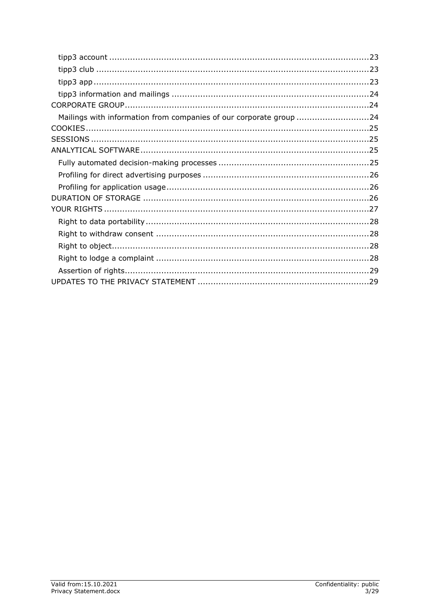| Mailings with information from companies of our corporate group 24 |  |
|--------------------------------------------------------------------|--|
|                                                                    |  |
|                                                                    |  |
|                                                                    |  |
|                                                                    |  |
|                                                                    |  |
|                                                                    |  |
|                                                                    |  |
|                                                                    |  |
|                                                                    |  |
|                                                                    |  |
|                                                                    |  |
|                                                                    |  |
|                                                                    |  |
|                                                                    |  |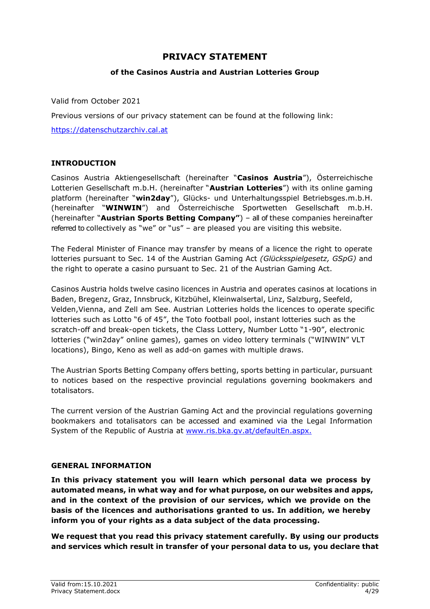# **PRIVACY STATEMENT**

# **of the Casinos Austria and Austrian Lotteries Group**

<span id="page-3-0"></span>Valid from October 2021

Previous versions of our privacy statement can be found at the following link:

[https://datenschutzarchiv.cal.at](https://datenschutzarchiv.cal.at/)

# <span id="page-3-1"></span>**INTRODUCTION**

Casinos Austria Aktiengesellschaft (hereinafter "**Casinos Austria**"), Österreichische Lotterien Gesellschaft m.b.H. (hereinafter "**Austrian Lotteries**") with its online gaming platform (hereinafter "**win2day**"), Glücks- und Unterhaltungsspiel Betriebsges.m.b.H. (hereinafter "**WINWIN**") and Österreichische Sportwetten Gesellschaft m.b.H. (hereinafter "**Austrian Sports Betting Company"**) – all of these companies hereinafter referred to collectively as "we" or "us" – are pleased you are visiting this website.

The Federal Minister of Finance may transfer by means of a licence the right to operate lotteries pursuant to Sec. 14 of the Austrian Gaming Act *(Glücksspielgesetz, GSpG)* and the right to operate a casino pursuant to Sec. 21 of the Austrian Gaming Act.

Casinos Austria holds twelve casino licences in Austria and operates casinos at locations in Baden, Bregenz, Graz, Innsbruck, Kitzbühel, Kleinwalsertal, Linz, Salzburg, Seefeld, Velden,Vienna, and Zell am See. Austrian Lotteries holds the licences to operate specific lotteries such as Lotto "6 of 45", the Toto football pool, instant lotteries such as the scratch-off and break-open tickets, the Class Lottery, Number Lotto "1-90", electronic lotteries ("win2day" online games), games on video lottery terminals ("WINWIN" VLT locations), Bingo, Keno as well as add-on games with multiple draws.

The Austrian Sports Betting Company offers betting, sports betting in particular, pursuant to notices based on the respective provincial regulations governing bookmakers and totalisators.

The current version of the Austrian Gaming Act and the provincial regulations governing bookmakers and totalisators can be accessed and examined via the Legal Information System of the Republic of Austria at [www.ris.bka.gv.at/](http://www.ris.bka.gv.at/)defaultEn.aspx.

### <span id="page-3-2"></span>**GENERAL INFORMATION**

**In this privacy statement you will learn which personal data we process by automated means, in what way and for what purpose, on our websites and apps, and in the context of the provision of our services, which we provide on the basis of the licences and authorisations granted to us. In addition, we hereby inform you of your rights as a data subject of the data processing.**

**We request that you read this privacy statement carefully. By using our products and services which result in transfer of your personal data to us, you declare that**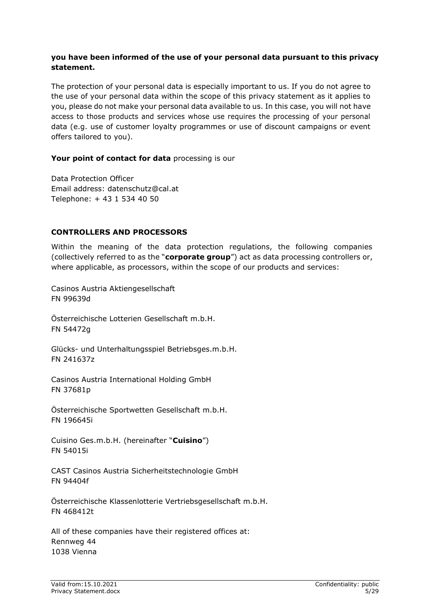# **you have been informed of the use of your personal data pursuant to this privacy statement.**

The protection of your personal data is especially important to us. If you do not agree to the use of your personal data within the scope of this privacy statement as it applies to you, please do not make your personal data available to us. In this case, you will not have access to those products and services whose use requires the processing of your personal data (e.g. use of customer loyalty programmes or use of discount campaigns or event offers tailored to you).

### **Your point of contact for data** processing is our

Data Protection Officer Email address: datenschutz@cal.at Telephone: + 43 1 534 40 50

# <span id="page-4-0"></span>**CONTROLLERS AND PROCESSORS**

Within the meaning of the data protection regulations, the following companies (collectively referred to as the "**corporate group**") act as data processing controllers or, where applicable, as processors, within the scope of our products and services:

Casinos Austria Aktiengesellschaft FN 99639d

Österreichische Lotterien Gesellschaft m.b.H. FN 54472g

Glücks- und Unterhaltungsspiel Betriebsges.m.b.H. FN 241637z

Casinos Austria International Holding GmbH FN 37681p

Österreichische Sportwetten Gesellschaft m.b.H. FN 196645i

Cuisino Ges.m.b.H. (hereinafter "**Cuisino**") FN 54015i

CAST Casinos Austria Sicherheitstechnologie GmbH FN 94404f

Österreichische Klassenlotterie Vertriebsgesellschaft m.b.H. FN 468412t

All of these companies have their registered offices at: Rennweg 44 1038 Vienna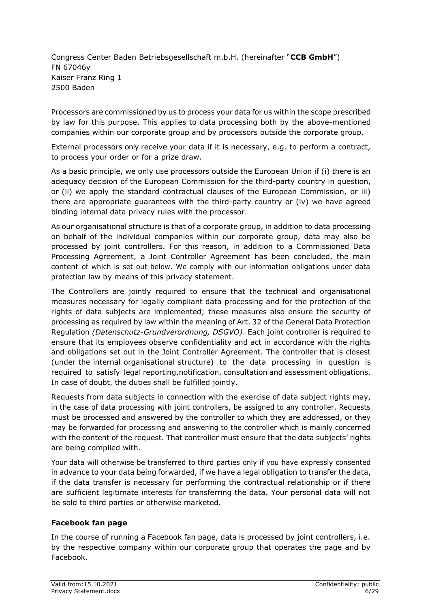Congress Center Baden Betriebsgesellschaft m.b.H. (hereinafter "**CCB GmbH**") FN 67046y Kaiser Franz Ring 1 2500 Baden

Processors are commissioned by us to process your data for us within the scope prescribed by law for this purpose. This applies to data processing both by the above-mentioned companies within our corporate group and by processors outside the corporate group.

External processors only receive your data if it is necessary, e.g. to perform a contract, to process your order or for a prize draw.

As a basic principle, we only use processors outside the European Union if (i) there is an adequacy decision of the European Commission for the third-party country in question, or (ii) we apply the standard contractual clauses of the European Commission, or iii) there are appropriate guarantees with the third-party country or (iv) we have agreed binding internal data privacy rules with the processor.

As our organisational structure is that of a corporate group, in addition to data processing on behalf of the individual companies within our corporate group, data may also be processed by joint controllers. For this reason, in addition to a Commissioned Data Processing Agreement, a Joint Controller Agreement has been concluded, the main content of which is set out below. We comply with our information obligations under data protection law by means of this privacy statement.

The Controllers are jointly required to ensure that the technical and organisational measures necessary for legally compliant data processing and for the protection of the rights of data subjects are implemented; these measures also ensure the security of processing as required by law within the meaning of Art. 32 of the General Data Protection Regulation *(Datenschutz-Grundverordnung, DSGVO)*. Each joint controller is required to ensure that its employees observe confidentiality and act in accordance with the rights and obligations set out in the Joint Controller Agreement. The controller that is closest (under the internal organisational structure) to the data processing in question is required to satisfy legal reporting,notification, consultation and assessment obligations. In case of doubt, the duties shall be fulfilled jointly.

Requests from data subjects in connection with the exercise of data subject rights may, in the case of data processing with joint controllers, be assigned to any controller. Requests must be processed and answered by the controller to which they are addressed, or they may be forwarded for processing and answering to the controller which is mainly concerned with the content of the request. That controller must ensure that the data subjects' rights are being complied with.

Your data will otherwise be transferred to third parties only if you have expressly consented in advance to your data being forwarded, if we have a legal obligation to transfer the data, if the data transfer is necessary for performing the contractual relationship or if there are sufficient legitimate interests for transferring the data. Your personal data will not be sold to third parties or otherwise marketed.

### <span id="page-5-0"></span>**Facebook fan page**

In the course of running a Facebook fan page, data is processed by joint controllers, i.e. by the respective company within our corporate group that operates the page and by Facebook.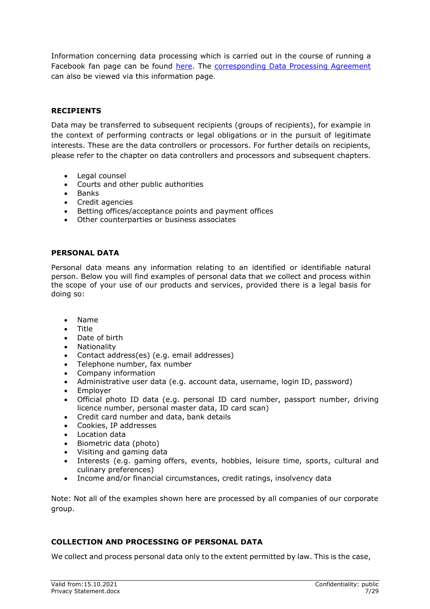Information concerning data processing which is carried out in the course of running a Facebook fan page can be found [here](https://de-de.facebook.com/legal/terms/information_about_page_insights_data). The [corresponding Data Processing Agreement](https://de-de.facebook.com/legal/terms/page_controller_addendum) can also be viewed via this information page.

### <span id="page-6-0"></span>**RECIPIENTS**

Data may be transferred to subsequent recipients (groups of recipients), for example in the context of performing contracts or legal obligations or in the pursuit of legitimate interests. These are the data controllers or processors. For further details on recipients, please refer to the chapter on data controllers and processors and subsequent chapters.

- Legal counsel
- Courts and other public authorities
- Banks
- Credit agencies
- Betting offices/acceptance points and payment offices
- Other counterparties or business associates

#### <span id="page-6-1"></span>**PERSONAL DATA**

Personal data means any information relating to an identified or identifiable natural person. Below you will find examples of personal data that we collect and process within the scope of your use of our products and services, provided there is a legal basis for doing so:

- Name
- Title
- Date of birth
- Nationality
- Contact address(es) (e.g. email addresses)
- Telephone number, fax number
- Company information
- Administrative user data (e.g. account data, username, login ID, password)
- Employer
- Official photo ID data (e.g. personal ID card number, passport number, driving licence number, personal master data, ID card scan)
- Credit card number and data, bank details
- Cookies, IP addresses
- Location data
- Biometric data (photo)
- Visiting and gaming data
- Interests (e.g. gaming offers, events, hobbies, leisure time, sports, cultural and culinary preferences)
- Income and/or financial circumstances, credit ratings, insolvency data

Note: Not all of the examples shown here are processed by all companies of our corporate group.

#### <span id="page-6-2"></span>**COLLECTION AND PROCESSING OF PERSONAL DATA**

We collect and process personal data only to the extent permitted by law. This is the case,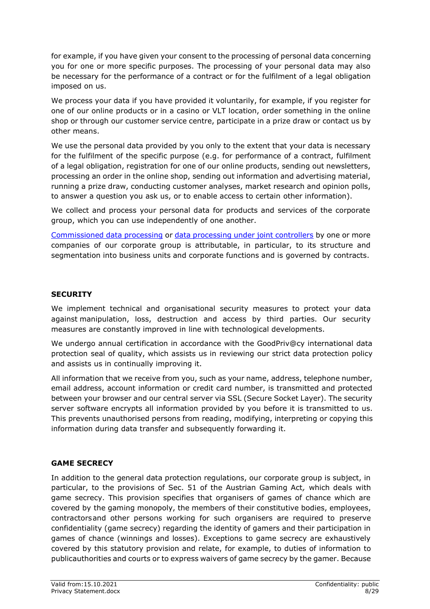for example, if you have given your consent to the processing of personal data concerning you for one or more specific purposes. The processing of your personal data may also be necessary for the performance of a contract or for the fulfilment of a legal obligation imposed on us.

We process your data if you have provided it voluntarily, for example, if you register for one of our online products or in a casino or VLT location, order something in the online shop or through our customer service centre, participate in a prize draw or contact us by other means.

We use the personal data provided by you only to the extent that your data is necessary for the fulfilment of the specific purpose (e.g. for performance of a contract, fulfilment of a legal obligation, registration for one of our online products, sending out newsletters, processing an order in the online shop, sending out information and advertising material, running a prize draw, conducting customer analyses, market research and opinion polls, to answer a question you ask us, or to enable access to certain other information).

We collect and process your personal data for products and services of the corporate group, which you can use independently of one another.

Commissioned data processing or data processing under joint controllers by one or more companies of our corporate group is attributable, in particular, to its structure and segmentation into business units and corporate functions and is governed by contracts.

# <span id="page-7-0"></span>**SECURITY**

We implement technical and organisational security measures to protect your data against manipulation, loss, destruction and access by third parties. Our security measures are constantly improved in line with technological developments.

We undergo annual certification in accordance with the GoodPriv@cy international data protection seal of quality, which assists us in reviewing our strict data protection policy and assists us in continually improving it.

All information that we receive from you, such as your name, address, telephone number, email address, account information or credit card number, is transmitted and protected between your browser and our central server via SSL (Secure Socket Layer). The security server software encrypts all information provided by you before it is transmitted to us. This prevents unauthorised persons from reading, modifying, interpreting or copying this information during data transfer and subsequently forwarding it.

# <span id="page-7-1"></span>**GAME SECRECY**

In addition to the general data protection regulations, our corporate group is subject, in particular, to the provisions of Sec. 51 of the Austrian Gaming Act*,* which deals with game secrecy. This provision specifies that organisers of games of chance which are covered by the gaming monopoly, the members of their constitutive bodies, employees, contractorsand other persons working for such organisers are required to preserve confidentiality (game secrecy) regarding the identity of gamers and their participation in games of chance (winnings and losses). Exceptions to game secrecy are exhaustively covered by this statutory provision and relate, for example, to duties of information to publicauthorities and courts or to express waivers of game secrecy by the gamer. Because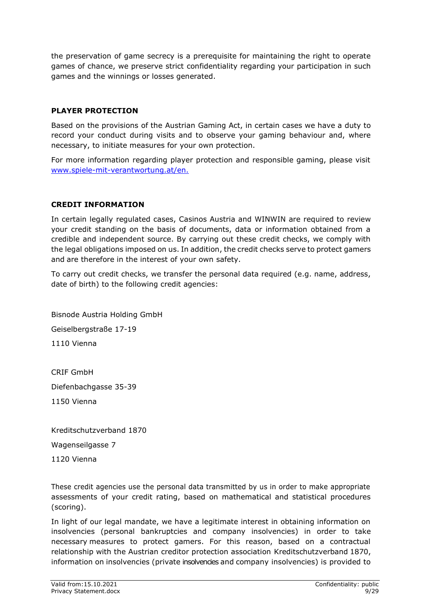the preservation of game secrecy is a prerequisite for maintaining the right to operate games of chance, we preserve strict confidentiality regarding your participation in such games and the winnings or losses generated.

# <span id="page-8-0"></span>**PLAYER PROTECTION**

Based on the provisions of the Austrian Gaming Act, in certain cases we have a duty to record your conduct during visits and to observe your gaming behaviour and, where necessary, to initiate measures for your own protection.

For more information regarding player protection and responsible gaming, please visit [www.spiele-mit-verantwortung.at/](http://www.spiele-mit-verantwortung.at/)en.

# <span id="page-8-1"></span>**CREDIT INFORMATION**

In certain legally regulated cases, Casinos Austria and WINWIN are required to review your credit standing on the basis of documents, data or information obtained from a credible and independent source. By carrying out these credit checks, we comply with the legal obligations imposed on us. In addition, the credit checks serve to protect gamers and are therefore in the interest of your own safety.

To carry out credit checks, we transfer the personal data required (e.g. name, address, date of birth) to the following credit agencies:

Bisnode Austria Holding GmbH Geiselbergstraße 17-19 1110 Vienna

CRIF GmbH Diefenbachgasse 35-39 1150 Vienna

Kreditschutzverband 1870

Wagenseilgasse 7

1120 Vienna

These credit agencies use the personal data transmitted by us in order to make appropriate assessments of your credit rating, based on mathematical and statistical procedures (scoring).

In light of our legal mandate, we have a legitimate interest in obtaining information on insolvencies (personal bankruptcies and company insolvencies) in order to take necessary measures to protect gamers. For this reason, based on a contractual relationship with the Austrian creditor protection association Kreditschutzverband 1870, information on insolvencies (private insolvencies and company insolvencies) is provided to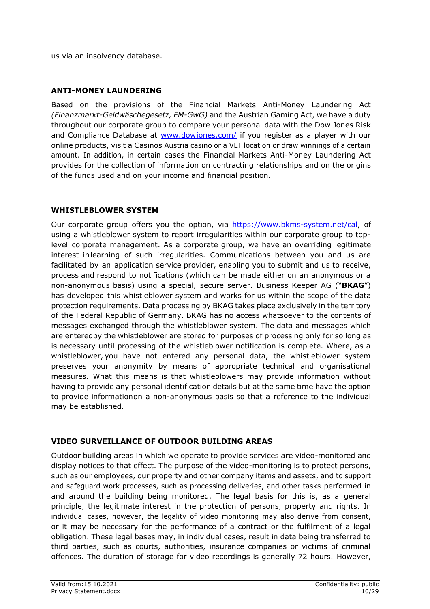us via an insolvency database.

# <span id="page-9-0"></span>**ANTI-MONEY LAUNDERING**

Based on the provisions of the Financial Markets Anti-Money Laundering Act *(Finanzmarkt-Geldwäschegesetz, FM-GwG)* and the Austrian Gaming Act, we have a duty throughout our corporate group to compare your personal data with the Dow Jones Risk and Compliance Database at [www.dowjones.com/](http://www.dowjones.com/) if you register as a player with our online products, visit a Casinos Austria casino or a VLT location or draw winnings of a certain amount. In addition, in certain cases the Financial Markets Anti-Money Laundering Act provides for the collection of information on contracting relationships and on the origins of the funds used and on your income and financial position.

# <span id="page-9-1"></span>**WHISTLEBLOWER SYSTEM**

Our corporate group offers you the option, via [https://www.bkms-system.net/cal,](https://www.bkms-system.net/cal) of using a whistleblower system to report irregularities within our corporate group to toplevel corporate management. As a corporate group, we have an overriding legitimate interest inlearning of such irregularities. Communications between you and us are facilitated by an application service provider, enabling you to submit and us to receive, process and respond to notifications (which can be made either on an anonymous or a non-anonymous basis) using a special, secure server. Business Keeper AG ("**BKAG**") has developed this whistleblower system and works for us within the scope of the data protection requirements. Data processing by BKAG takes place exclusively in the territory of the Federal Republic of Germany. BKAG has no access whatsoever to the contents of messages exchanged through the whistleblower system. The data and messages which are enteredby the whistleblower are stored for purposes of processing only for so long as is necessary until processing of the whistleblower notification is complete. Where, as a whistleblower, you have not entered any personal data, the whistleblower system preserves your anonymity by means of appropriate technical and organisational measures. What this means is that whistleblowers may provide information without having to provide any personal identification details but at the same time have the option to provide informationon a non-anonymous basis so that a reference to the individual may be established.

### <span id="page-9-2"></span>**VIDEO SURVEILLANCE OF OUTDOOR BUILDING AREAS**

Outdoor building areas in which we operate to provide services are video-monitored and display notices to that effect. The purpose of the video-monitoring is to protect persons, such as our employees, our property and other company items and assets, and to support and safeguard work processes, such as processing deliveries, and other tasks performed in and around the building being monitored. The legal basis for this is, as a general principle, the legitimate interest in the protection of persons, property and rights. In individual cases, however, the legality of video monitoring may also derive from consent, or it may be necessary for the performance of a contract or the fulfilment of a legal obligation. These legal bases may, in individual cases, result in data being transferred to third parties, such as courts, authorities, insurance companies or victims of criminal offences. The duration of storage for video recordings is generally 72 hours. However,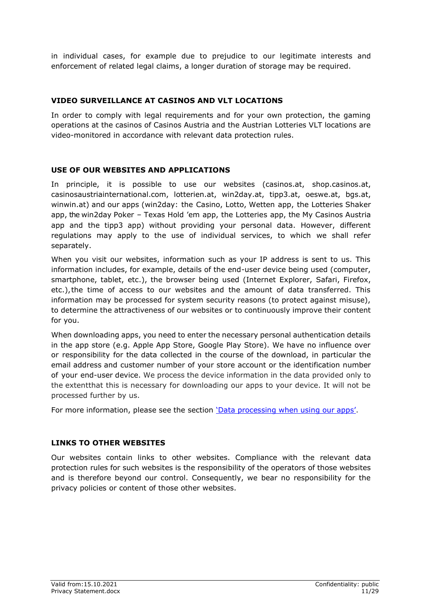in individual cases, for example due to prejudice to our legitimate interests and enforcement of related legal claims, a longer duration of storage may be required.

# <span id="page-10-0"></span>**VIDEO SURVEILLANCE AT CASINOS AND VLT LOCATIONS**

In order to comply with legal requirements and for your own protection, the gaming operations at the casinos of Casinos Austria and the Austrian Lotteries VLT locations are video-monitored in accordance with relevant data protection rules.

# <span id="page-10-1"></span>**USE OF OUR WEBSITES AND APPLICATIONS**

In principle, it is possible to use our websites (casinos.at, shop.casinos.at, casinosaustriainternational.com, lotterien.at, win2day.at, tipp3.at, oeswe.at, bgs.at, winwin.at) and our apps (win2day: the Casino, Lotto, Wetten app, the Lotteries Shaker app, the win2day Poker – Texas Hold 'em app, the Lotteries app, the My Casinos Austria app and the tipp3 app) without providing your personal data. However, different regulations may apply to the use of individual services, to which we shall refer separately.

When you visit our websites, information such as your IP address is sent to us. This information includes, for example, details of the end-user device being used (computer, smartphone, tablet, etc.), the browser being used (Internet Explorer, Safari, Firefox, etc.),the time of access to our websites and the amount of data transferred. This information may be processed for system security reasons (to protect against misuse), to determine the attractiveness of our websites or to continuously improve their content for you.

When downloading apps, you need to enter the necessary personal authentication details in the app store (e.g. Apple App Store, Google Play Store). We have no influence over or responsibility for the data collected in the course of the download, in particular the email address and customer number of your store account or the identification number of your end-user device. We process the device information in the data provided only to the extentthat this is necessary for downloading our apps to your device. It will not be processed further by us.

For more information, please see the section 'Data processing when using our apps'.

### <span id="page-10-2"></span>**LINKS TO OTHER WEBSITES**

Our websites contain links to other websites. Compliance with the relevant data protection rules for such websites is the responsibility of the operators of those websites and is therefore beyond our control. Consequently, we bear no responsibility for the privacy policies or content of those other websites.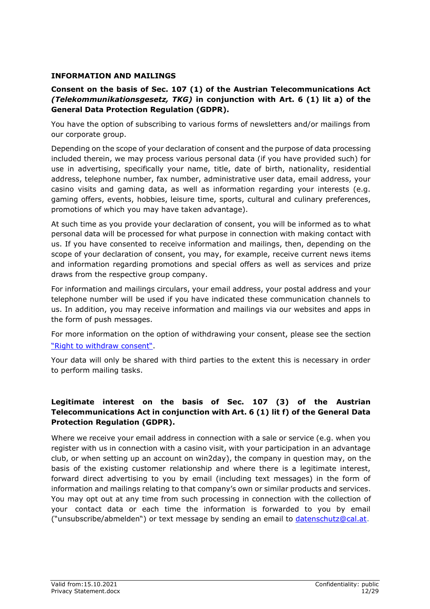### <span id="page-11-0"></span>**INFORMATION AND MAILINGS**

# **Consent on the basis of Sec. 107 (1) of the Austrian Telecommunications Act**  *(Telekommunikationsgesetz, TKG)* **in conjunction with Art. 6 (1) lit a) of the General Data Protection Regulation (GDPR).**

You have the option of subscribing to various forms of newsletters and/or mailings from our corporate group.

Depending on the scope of your declaration of consent and the purpose of data processing included therein, we may process various personal data (if you have provided such) for use in advertising, specifically your name, title, date of birth, nationality, residential address, telephone number, fax number, administrative user data, email address, your casino visits and gaming data, as well as information regarding your interests (e.g. gaming offers, events, hobbies, leisure time, sports, cultural and culinary preferences, promotions of which you may have taken advantage).

At such time as you provide your declaration of consent, you will be informed as to what personal data will be processed for what purpose in connection with making contact with us. If you have consented to receive information and mailings, then, depending on the scope of your declaration of consent, you may, for example, receive current news items and information regarding promotions and special offers as well as services and prize draws from the respective group company.

For information and mailings circulars, your email address, your postal address and your telephone number will be used if you have indicated these communication channels to us. In addition, you may receive information and mailings via our websites and apps in the form of push messages.

For more information on the option of withdrawing your consent, please see the section "Right to withdraw consent".

Your data will only be shared with third parties to the extent this is necessary in order to perform mailing tasks.

# **Legitimate interest on the basis of Sec. 107 (3) of the Austrian Telecommunications Act in conjunction with Art. 6 (1) lit f) of the General Data Protection Regulation (GDPR).**

Where we receive your email address in connection with a sale or service (e.g. when you register with us in connection with a casino visit, with your participation in an advantage club, or when setting up an account on win2day), the company in question may, on the basis of the existing customer relationship and where there is a legitimate interest, forward direct advertising to you by email (including text messages) in the form of information and mailings relating to that company's own or similar products and services. You may opt out at any time from such processing in connection with the collection of your contact data or each time the information is forwarded to you by email ("unsubscribe/abmelden") or text message by sending an email to [datenschutz@cal.at.](mailto:datenschutz@cal.at)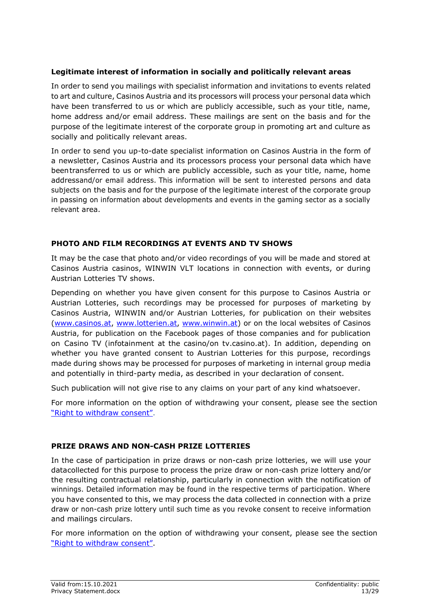# **Legitimate interest of information in socially and politically relevant areas**

In order to send you mailings with specialist information and invitations to events related to art and culture, Casinos Austria and its processors will process your personal data which have been transferred to us or which are publicly accessible, such as your title, name, home address and/or email address. These mailings are sent on the basis and for the purpose of the legitimate interest of the corporate group in promoting art and culture as socially and politically relevant areas.

In order to send you up-to-date specialist information on Casinos Austria in the form of a newsletter, Casinos Austria and its processors process your personal data which have been transferred to us or which are publicly accessible, such as your title, name, home addressand/or email address. This information will be sent to interested persons and data subjects on the basis and for the purpose of the legitimate interest of the corporate group in passing on information about developments and events in the gaming sector as a socially relevant area.

# <span id="page-12-0"></span>**PHOTO AND FILM RECORDINGS AT EVENTS AND TV SHOWS**

It may be the case that photo and/or video recordings of you will be made and stored at Casinos Austria casinos, WINWIN VLT locations in connection with events, or during Austrian Lotteries TV shows.

Depending on whether you have given consent for this purpose to Casinos Austria or Austrian Lotteries, such recordings may be processed for purposes of marketing by Casinos Austria, WINWIN and/or Austrian Lotteries, for publication on their websites [\(www.casinos.at,](http://www.casinos.at/) [www.lotterien.at,](https://www.lotterien.at/) [www.winwin.at\)](http://www.winwin.at/) or on the local websites of Casinos Austria, for publication on the Facebook pages of those companies and for publication on Casino TV (infotainment at the casino/on tv.casino.at). In addition, depending on whether you have granted consent to Austrian Lotteries for this purpose, recordings made during shows may be processed for purposes of marketing in internal group media and potentially in third-party media, as described in your declaration of consent.

Such publication will not give rise to any claims on your part of any kind whatsoever.

For more information on the option of withdrawing your consent, please see the section "Right to withdraw consent".

### <span id="page-12-1"></span>**PRIZE DRAWS AND NON-CASH PRIZE LOTTERIES**

In the case of participation in prize draws or non-cash prize lotteries, we will use your data collected for this purpose to process the prize draw or non-cash prize lottery and/or the resulting contractual relationship, particularly in connection with the notification of winnings. Detailed information may be found in the respective terms of participation. Where you have consented to this, we may process the data collected in connection with a prize draw or non-cash prize lottery until such time as you revoke consent to receive information and mailings circulars.

For more information on the option of withdrawing your consent, please see the section "Right to withdraw consent".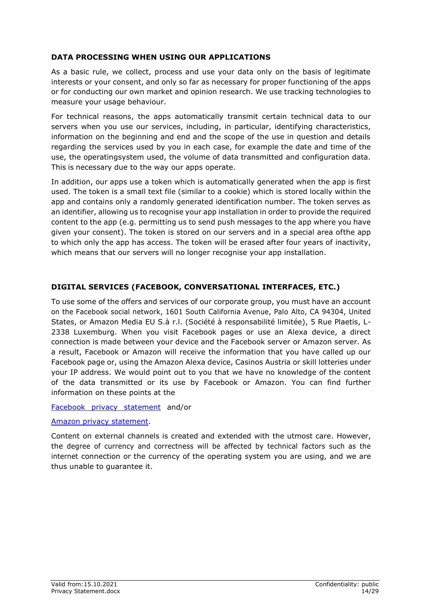# <span id="page-13-0"></span>**DATA PROCESSING WHEN USING OUR APPLICATIONS**

As a basic rule, we collect, process and use your data only on the basis of legitimate interests or your consent, and only so far as necessary for proper functioning of the apps or for conducting our own market and opinion research. We use tracking technologies to measure your usage behaviour.

For technical reasons, the apps automatically transmit certain technical data to our servers when you use our services, including, in particular, identifying characteristics, information on the beginning and end and the scope of the use in question and details regarding the services used by you in each case, for example the date and time of the use, the operatingsystem used, the volume of data transmitted and configuration data. This is necessary due to the way our apps operate.

In addition, our apps use a token which is automatically generated when the app is first used. The token is a small text file (similar to a cookie) which is stored locally within the app and contains only a randomly generated identification number. The token serves as an identifier, allowing us to recognise your app installation in order to provide the required content to the app (e.g. permitting us to send push messages to the app where you have given your consent). The token is stored on our servers and in a special area ofthe app to which only the app has access. The token will be erased after four years of inactivity, which means that our servers will no longer recognise your app installation.

# <span id="page-13-1"></span>**DIGITAL SERVICES (FACEBOOK, CONVERSATIONAL INTERFACES, ETC.)**

To use some of the offers and services of our corporate group, you must have an account on the Facebook social network, 1601 South California Avenue, Palo Alto, CA 94304, United States, or Amazon Media EU S.à r.l. (Société à responsabilité limitée), 5 Rue Plaetis, L-2338 Luxemburg. When you visit Facebook pages or use an Alexa device, a direct connection is made between your device and the Facebook server or Amazon server. As a result, Facebook or Amazon will receive the information that you have called up our Facebook page or, using the Amazon Alexa device, Casinos Austria or skill lotteries under your IP address. We would point out to you that we have no knowledge of the content of the data transmitted or its use by Facebook or Amazon. You can find further information on these points at the

#### [Facebook privacy statement](https://www.facebook.com/policy.php) and/or

### [Amazon privacy statement.](https://www.amazon.de/gp/help/customer/display.html?nodeId=201909010)

Content on external channels is created and extended with the utmost care. However, the degree of currency and correctness will be affected by technical factors such as the internet connection or the currency of the operating system you are using, and we are thus unable to guarantee it.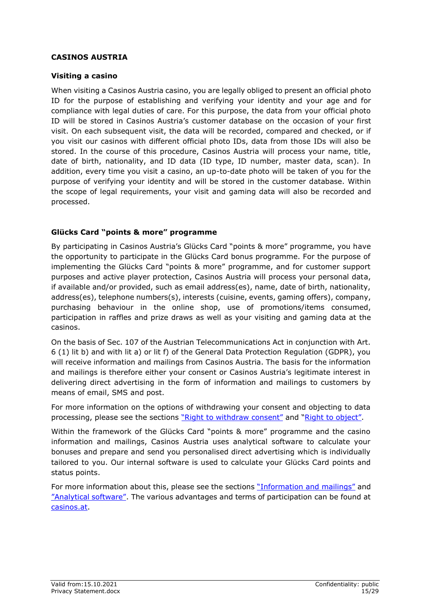### <span id="page-14-0"></span>**CASINOS AUSTRIA**

### <span id="page-14-1"></span>**Visiting a casino**

When visiting a Casinos Austria casino, you are legally obliged to present an official photo ID for the purpose of establishing and verifying your identity and your age and for compliance with legal duties of care. For this purpose, the data from your official photo ID will be stored in Casinos Austria's customer database on the occasion of your first visit. On each subsequent visit, the data will be recorded, compared and checked, or if you visit our casinos with different official photo IDs, data from those IDs will also be stored. In the course of this procedure, Casinos Austria will process your name, title, date of birth, nationality, and ID data (ID type, ID number, master data, scan). In addition, every time you visit a casino, an up-to-date photo will be taken of you for the purpose of verifying your identity and will be stored in the customer database. Within the scope of legal requirements, your visit and gaming data will also be recorded and processed.

# <span id="page-14-2"></span>**Glücks Card "points & more" programme**

By participating in Casinos Austria's Glücks Card "points & more" programme, you have the opportunity to participate in the Glücks Card bonus programme. For the purpose of implementing the Glücks Card "points & more" programme, and for customer support purposes and active player protection, Casinos Austria will process your personal data, if available and/or provided, such as email address(es), name, date of birth, nationality, address(es), telephone numbers(s), interests (cuisine, events, gaming offers), company, purchasing behaviour in the online shop, use of promotions/items consumed, participation in raffles and prize draws as well as your visiting and gaming data at the casinos.

On the basis of Sec. 107 of the Austrian Telecommunications Act in conjunction with Art. 6 (1) lit b) and with lit a) or lit f) of the General Data Protection Regulation (GDPR), you will receive information and mailings from Casinos Austria. The basis for the information and mailings is therefore either your consent or Casinos Austria's legitimate interest in delivering direct advertising in the form of information and mailings to customers by means of email, SMS and post.

For more information on the options of withdrawing your consent and objecting to data processing, please see the sections "Right to withdraw consent" and "Right to object".

Within the framework of the Glücks Card "points & more" programme and the casino information and mailings, Casinos Austria uses analytical software to calculate your bonuses and prepare and send you personalised direct advertising which is individually tailored to you. Our internal software is used to calculate your Glücks Card points and status points.

For more information about this, please see the sections "Information and mailings" and "Analytical software". The various advantages and terms of participation can be found at [casinos.at.](http://casinos.at/)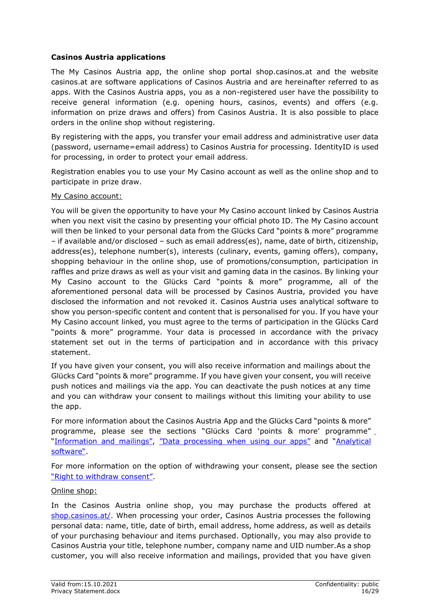# <span id="page-15-0"></span>**Casinos Austria applications**

The My Casinos Austria app, the online shop portal shop.casinos.at and the website casinos.at are software applications of Casinos Austria and are hereinafter referred to as apps. With the Casinos Austria apps, you as a non-registered user have the possibility to receive general information (e.g. opening hours, casinos, events) and offers (e.g. information on prize draws and offers) from Casinos Austria. It is also possible to place orders in the online shop without registering.

By registering with the apps, you transfer your email address and administrative user data (password, username=email address) to Casinos Austria for processing. IdentityID is used for processing, in order to protect your email address.

Registration enables you to use your My Casino account as well as the online shop and to participate in prize draw.

### My Casino account:

You will be given the opportunity to have your My Casino account linked by Casinos Austria when you next visit the casino by presenting your official photo ID. The My Casino account will then be linked to your personal data from the Glücks Card "points & more" programme – if available and/or disclosed – such as email address(es), name, date of birth, citizenship, address(es), telephone number(s), interests (culinary, events, gaming offers), company, shopping behaviour in the online shop, use of promotions/consumption, participation in raffles and prize draws as well as your visit and gaming data in the casinos. By linking your My Casino account to the Glücks Card "points & more" programme, all of the aforementioned personal data will be processed by Casinos Austria, provided you have disclosed the information and not revoked it. Casinos Austria uses analytical software to show you person-specific content and content that is personalised for you. If you have your My Casino account linked, you must agree to the terms of participation in the Glücks Card "points & more" programme. Your data is processed in accordance with the privacy statement set out in the terms of participation and in accordance with this privacy statement.

If you have given your consent, you will also receive information and mailings about the Glücks Card "points & more" programme. If you have given your consent, you will receive push notices and mailings via the app. You can deactivate the push notices at any time and you can withdraw your consent to mailings without this limiting your ability to use the app.

For more information about the Casinos Austria App and the Glücks Card "points & more" programme, please see the sections "Glücks Card 'points & more' programme" "Information and mailings", "Data processing when using our apps" and "Analytical software".

For more information on the option of withdrawing your consent, please see the section "Right to withdraw consent".

#### Online shop:

In the Casinos Austria online shop, you may purchase the products offered at [shop.casinos.at/.](https://shop.casinos.at/) When processing your order, Casinos Austria processes the following personal data: name, title, date of birth, email address, home address, as well as details of your purchasing behaviour and items purchased. Optionally, you may also provide to Casinos Austria your title, telephone number, company name and UID number.As a shop customer, you will also receive information and mailings, provided that you have given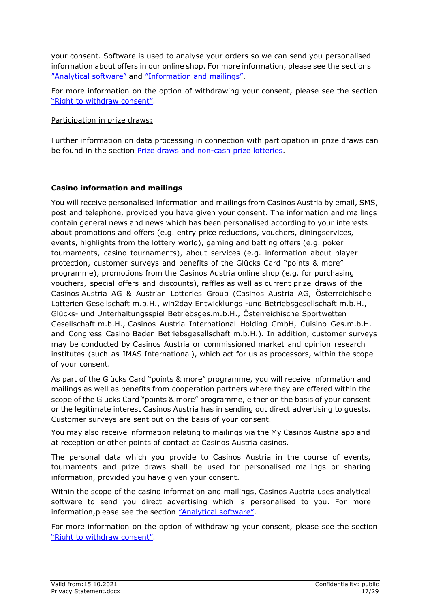your consent. Software is used to analyse your orders so we can send you personalised information about offers in our online shop. For more information, please see the sections "Analytical software" and "Information and mailings".

For more information on the option of withdrawing your consent, please see the section "Right to withdraw consent".

Participation in prize draws:

Further information on data processing in connection with participation in prize draws can be found in the section [Prize draws and non-cash prize lotteries.](#page-12-1)

# <span id="page-16-0"></span>**Casino information and mailings**

You will receive personalised information and mailings from Casinos Austria by email, SMS, post and telephone, provided you have given your consent. The information and mailings contain general news and news which has been personalised according to your interests about promotions and offers (e.g. entry price reductions, vouchers, diningservices, events, highlights from the lottery world), gaming and betting offers (e.g. poker tournaments, casino tournaments), about services (e.g. information about player protection, customer surveys and benefits of the Glücks Card "points & more" programme), promotions from the Casinos Austria online shop (e.g. for purchasing vouchers, special offers and discounts), raffles as well as current prize draws of the Casinos Austria AG & Austrian Lotteries Group (Casinos Austria AG, Österreichische Lotterien Gesellschaft m.b.H., win2day Entwicklungs -und Betriebsgesellschaft m.b.H., Glücks- und Unterhaltungsspiel Betriebsges.m.b.H., Österreichische Sportwetten Gesellschaft m.b.H., Casinos Austria International Holding GmbH, Cuisino Ges.m.b.H. and Congress Casino Baden Betriebsgesellschaft m.b.H.). In addition, customer surveys may be conducted by Casinos Austria or commissioned market and opinion research institutes (such as IMAS International), which act for us as processors, within the scope of your consent.

As part of the Glücks Card "points & more" programme, you will receive information and mailings as well as benefits from cooperation partners where they are offered within the scope of the Glücks Card "points & more" programme, either on the basis of your consent or the legitimate interest Casinos Austria has in sending out direct advertising to guests. Customer surveys are sent out on the basis of your consent.

You may also receive information relating to mailings via the My Casinos Austria app and at reception or other points of contact at Casinos Austria casinos.

The personal data which you provide to Casinos Austria in the course of events, tournaments and prize draws shall be used for personalised mailings or sharing information, provided you have given your consent.

Within the scope of the casino information and mailings, Casinos Austria uses analytical software to send you direct advertising which is personalised to you. For more information,please see the section "Analytical software".

For more information on the option of withdrawing your consent, please see the section "Right to withdraw consent".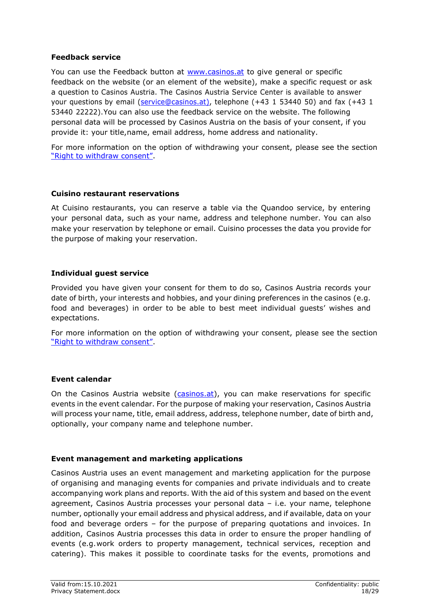### <span id="page-17-0"></span>**Feedback service**

You can use the Feedback button at [www.casinos.at](http://www.casinos.at/) to give general or specific feedback on the website (or an element of the website), make a specific request or ask a question to Casinos Austria. The Casinos Austria Service Center is available to answer your questions by email [\(service@casinos.at\)](mailto:service@casinos.at), telephone (+43 1 53440 50) and fax (+43 1 53440 22222).You can also use the feedback service on the website. The following personal data will be processed by Casinos Austria on the basis of your consent, if you provide it: your title,name, email address, home address and nationality.

For more information on the option of withdrawing your consent, please see the section "Right to withdraw consent".

### <span id="page-17-1"></span>**Cuisino restaurant reservations**

At Cuisino restaurants, you can reserve a table via the Quandoo service, by entering your personal data, such as your name, address and telephone number. You can also make your reservation by telephone or email. Cuisino processes the data you provide for the purpose of making your reservation.

### <span id="page-17-2"></span>**Individual guest service**

Provided you have given your consent for them to do so, Casinos Austria records your date of birth, your interests and hobbies, and your dining preferences in the casinos (e.g. food and beverages) in order to be able to best meet individual guests' wishes and expectations.

For more information on the option of withdrawing your consent, please see the section "Right to withdraw consent".

### <span id="page-17-3"></span>**Event calendar**

On the Casinos Austria website [\(casinos.at\)](http://www.casinos.at/), you can make reservations for specific events in the event calendar. For the purpose of making your reservation, Casinos Austria will process your name, title, email address, address, telephone number, date of birth and, optionally, your company name and telephone number.

### <span id="page-17-4"></span>**Event management and marketing applications**

Casinos Austria uses an event management and marketing application for the purpose of organising and managing events for companies and private individuals and to create accompanying work plans and reports. With the aid of this system and based on the event agreement, Casinos Austria processes your personal data – i.e. your name, telephone number, optionally your email address and physical address, and if available, data on your food and beverage orders – for the purpose of preparing quotations and invoices. In addition, Casinos Austria processes this data in order to ensure the proper handling of events (e.g.work orders to property management, technical services, reception and catering). This makes it possible to coordinate tasks for the events, promotions and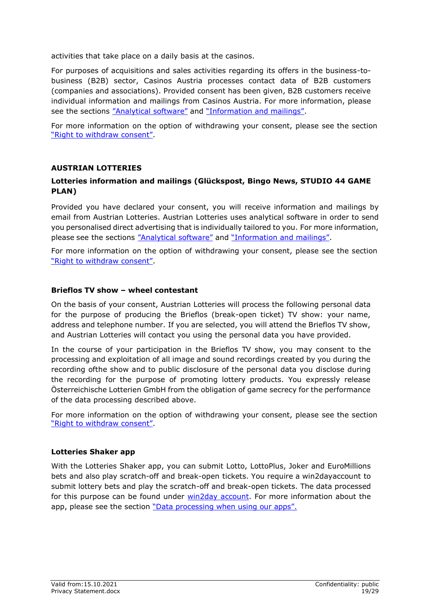activities that take place on a daily basis at the casinos.

For purposes of acquisitions and sales activities regarding its offers in the business-tobusiness (B2B) sector, Casinos Austria processes contact data of B2B customers (companies and associations). Provided consent has been given, B2B customers receive individual information and mailings from Casinos Austria. For more information, please see the sections "Analytical software" and "Information and mailings".

For more information on the option of withdrawing your consent, please see the section "Right to withdraw consent".

#### <span id="page-18-0"></span>**AUSTRIAN LOTTERIES**

# **Lotteries information and mailings (Glückspost, Bingo News, STUDIO 44 GAME PLAN)**

Provided you have declared your consent, you will receive information and mailings by email from Austrian Lotteries. Austrian Lotteries uses analytical software in order to send you personalised direct advertising that is individually tailored to you. For more information, please see the sections "Analytical software" and "Information and mailings".

For more information on the option of withdrawing your consent, please see the section "Right to withdraw consent".

#### **Brieflos TV show – wheel contestant**

On the basis of your consent, Austrian Lotteries will process the following personal data for the purpose of producing the Brieflos (break-open ticket) TV show: your name, address and telephone number. If you are selected, you will attend the Brieflos TV show, and Austrian Lotteries will contact you using the personal data you have provided.

In the course of your participation in the Brieflos TV show, you may consent to the processing and exploitation of all image and sound recordings created by you during the recording ofthe show and to public disclosure of the personal data you disclose during the recording for the purpose of promoting lottery products. You expressly release Österreichische Lotterien GmbH from the obligation of game secrecy for the performance of the data processing described above.

For more information on the option of withdrawing your consent, please see the section "Right to withdraw consent".

#### **Lotteries Shaker app**

With the Lotteries Shaker app, you can submit Lotto, LottoPlus, Joker and EuroMillions bets and also play scratch-off and break-open tickets. You require a win2dayaccount to submit lottery bets and play the scratch-off and break-open tickets. The data processed for this purpose can be found under win2day account. For more information about the app, please see the section "Data processing when using our apps".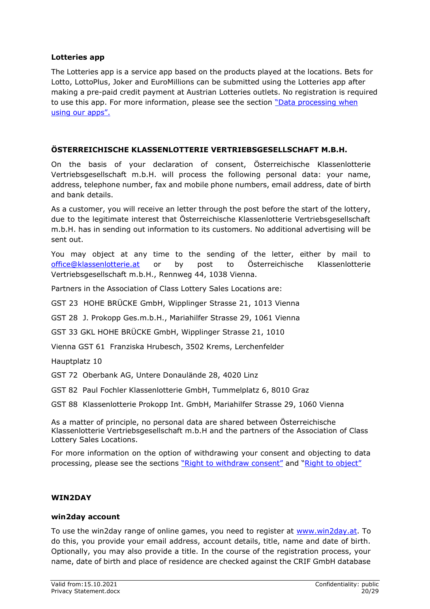### <span id="page-19-0"></span>**Lotteries app**

The Lotteries app is a service app based on the products played at the locations. Bets for Lotto, LottoPlus, Joker and EuroMillions can be submitted using the Lotteries app after making a pre-paid credit payment at Austrian Lotteries outlets. No registration is required to use this app. For more information, please see the section "Data processing when using our apps".

# <span id="page-19-1"></span>**ÖSTERREICHISCHE KLASSENLOTTERIE VERTRIEBSGESELLSCHAFT M.B.H.**

On the basis of your declaration of consent, Österreichische Klassenlotterie Vertriebsgesellschaft m.b.H. will process the following personal data: your name, address, telephone number, fax and mobile phone numbers, email address, date of birth and bank details.

As a customer, you will receive an letter through the post before the start of the lottery, due to the legitimate interest that Österreichische Klassenlotterie Vertriebsgesellschaft m.b.H. has in sending out information to its customers. No additional advertising will be sent out.

You may object at any time to the sending of the letter, either by mail to [office@klassenlotterie.at](mailto:office@klassenlotterie.at) or by post to Österreichische Klassenlotterie Vertriebsgesellschaft m.b.H., Rennweg 44, 1038 Vienna.

Partners in the Association of Class Lottery Sales Locations are:

GST 23 HOHE BRÜCKE GmbH, Wipplinger Strasse 21, 1013 Vienna

GST 28 J. Prokopp Ges.m.b.H., Mariahilfer Strasse 29, 1061 Vienna

GST 33 GKL HOHE BRÜCKE GmbH, Wipplinger Strasse 21, 1010

Vienna GST 61 Franziska Hrubesch, 3502 Krems, Lerchenfelder

Hauptplatz 10

GST 72 Oberbank AG, Untere Donaulände 28, 4020 Linz

GST 82 Paul Fochler Klassenlotterie GmbH, Tummelplatz 6, 8010 Graz

GST 88 Klassenlotterie Prokopp Int. GmbH, Mariahilfer Strasse 29, 1060 Vienna

As a matter of principle, no personal data are shared between Österreichische Klassenlotterie Vertriebsgesellschaft m.b.H and the partners of the Association of Class Lottery Sales Locations.

For more information on the option of withdrawing your consent and objecting to data processing, please see the sections "Right to withdraw consent" and "Right to object"

### <span id="page-19-2"></span>**WIN2DAY**

#### <span id="page-19-3"></span>**win2day account**

To use the win2day range of online games, you need to register at [www.win2day.at.](http://www.win2day.at/) To do this, you provide your email address, account details, title, name and date of birth. Optionally, you may also provide a title. In the course of the registration process, your name, date of birth and place of residence are checked against the CRIF GmbH database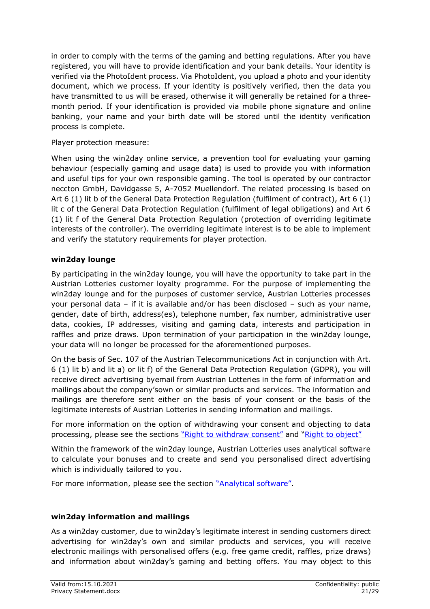in order to comply with the terms of the gaming and betting regulations. After you have registered, you will have to provide identification and your bank details. Your identity is verified via the PhotoIdent process. Via PhotoIdent, you upload a photo and your identity document, which we process. If your identity is positively verified, then the data you have transmitted to us will be erased, otherwise it will generally be retained for a threemonth period. If your identification is provided via mobile phone signature and online banking, your name and your birth date will be stored until the identity verification process is complete.

# Player protection measure:

When using the win2day online service, a prevention tool for evaluating your gaming behaviour (especially gaming and usage data) is used to provide you with information and useful tips for your own responsible gaming. The tool is operated by our contractor neccton GmbH, Davidgasse 5, A-7052 Muellendorf. The related processing is based on Art 6 (1) lit b of the General Data Protection Regulation (fulfilment of contract), Art 6 (1) lit c of the General Data Protection Regulation (fulfilment of legal obligations) and Art 6 (1) lit f of the General Data Protection Regulation (protection of overriding legitimate interests of the controller). The overriding legitimate interest is to be able to implement and verify the statutory requirements for player protection.

# <span id="page-20-0"></span>**win2day lounge**

By participating in the win2day lounge, you will have the opportunity to take part in the Austrian Lotteries customer loyalty programme. For the purpose of implementing the win2day lounge and for the purposes of customer service, Austrian Lotteries processes your personal data – if it is available and/or has been disclosed – such as your name, gender, date of birth, address(es), telephone number, fax number, administrative user data, cookies, IP addresses, visiting and gaming data, interests and participation in raffles and prize draws. Upon termination of your participation in the win2day lounge, your data will no longer be processed for the aforementioned purposes.

On the basis of Sec. 107 of the Austrian Telecommunications Act in conjunction with Art. 6 (1) lit b) and lit a) or lit f) of the General Data Protection Regulation (GDPR), you will receive direct advertising byemail from Austrian Lotteries in the form of information and mailings about the company'sown or similar products and services. The information and mailings are therefore sent either on the basis of your consent or the basis of the legitimate interests of Austrian Lotteries in sending information and mailings.

For more information on the option of withdrawing your consent and objecting to data processing, please see the sections "Right to withdraw consent" and "Right to object"

Within the framework of the win2day lounge, Austrian Lotteries uses analytical software to calculate your bonuses and to create and send you personalised direct advertising which is individually tailored to you.

For more information, please see the section "Analytical software".

# <span id="page-20-1"></span>**win2day information and mailings**

As a win2day customer, due to win2day's legitimate interest in sending customers direct advertising for win2day's own and similar products and services, you will receive electronic mailings with personalised offers (e.g. free game credit, raffles, prize draws) and information about win2day's gaming and betting offers. You may object to this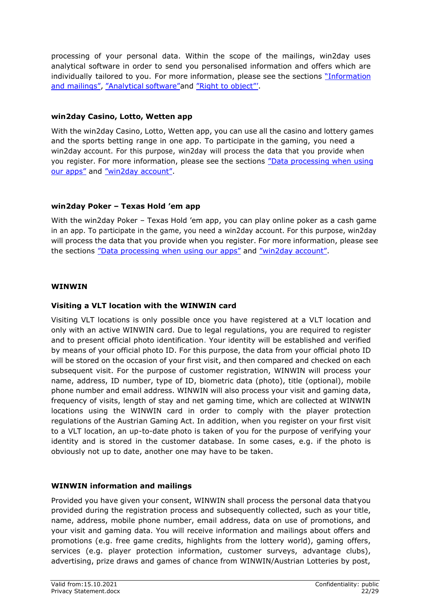processing of your personal data. Within the scope of the mailings, win2day uses analytical software in order to send you personalised information and offers which are individually tailored to you. For more information, please see the sections "Information and mailings", "Analytical software"and "Right to object"'.

# **win2day Casino, Lotto, Wetten app**

With the win2day Casino, Lotto, Wetten app, you can use all the casino and lottery games and the sports betting range in one app. To participate in the gaming, you need a win2day account. For this purpose, win2day will process the data that you provide when you register. For more information, please see the sections "Data processing when using our apps" and "win2day account".

# **win2day Poker – Texas Hold 'em app**

With the win2day Poker – Texas Hold 'em app, you can play online poker as a cash game in an app. To participate in the game, you need a win2day account. For this purpose, win2day will process the data that you provide when you register. For more information, please see the sections "Data processing when using our apps" and "win2day account".

# <span id="page-21-0"></span>**WINWIN**

### <span id="page-21-1"></span>**Visiting a VLT location with the WINWIN card**

Visiting VLT locations is only possible once you have registered at a VLT location and only with an active WINWIN card. Due to legal regulations, you are required to register and to present official photo identification. Your identity will be established and verified by means of your official photo ID. For this purpose, the data from your official photo ID will be stored on the occasion of your first visit, and then compared and checked on each subsequent visit. For the purpose of customer registration, WINWIN will process your name, address, ID number, type of ID, biometric data (photo), title (optional), mobile phone number and email address. WINWIN will also process your visit and gaming data, frequency of visits, length of stay and net gaming time, which are collected at WINWIN locations using the WINWIN card in order to comply with the player protection regulations of the Austrian Gaming Act. In addition, when you register on your first visit to a VLT location, an up-to-date photo is taken of you for the purpose of verifying your identity and is stored in the customer database. In some cases, e.g. if the photo is obviously not up to date, another one may have to be taken.

### <span id="page-21-2"></span>**WINWIN information and mailings**

Provided you have given your consent, WINWIN shall process the personal data thatyou provided during the registration process and subsequently collected, such as your title, name, address, mobile phone number, email address, data on use of promotions, and your visit and gaming data. You will receive information and mailings about offers and promotions (e.g. free game credits, highlights from the lottery world), gaming offers, services (e.g. player protection information, customer surveys, advantage clubs), advertising, prize draws and games of chance from WINWIN/Austrian Lotteries by post,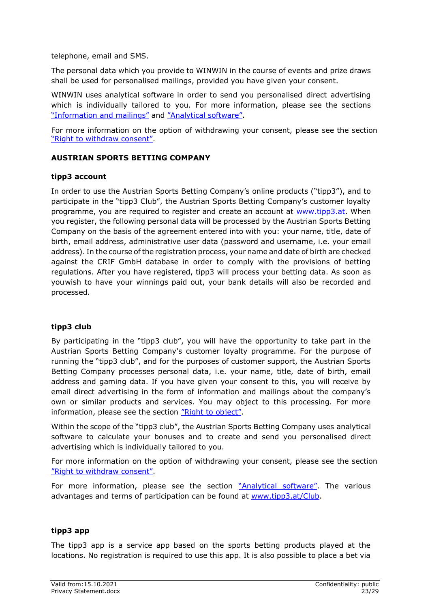telephone, email and SMS.

The personal data which you provide to WINWIN in the course of events and prize draws shall be used for personalised mailings, provided you have given your consent.

WINWIN uses analytical software in order to send you personalised direct advertising which is individually tailored to you. For more information, please see the sections "Information and mailings" and "Analytical software".

For more information on the option of withdrawing your consent, please see the section "Right to withdraw consent".

# <span id="page-22-0"></span>**AUSTRIAN SPORTS BETTING COMPANY**

### <span id="page-22-1"></span>**tipp3 account**

In order to use the Austrian Sports Betting Company's online products ("tipp3"), and to participate in the "tipp3 Club", the Austrian Sports Betting Company's customer loyalty programme, you are required to register and create an account at [www.tipp3.at.](http://www.tipp3.at/) When you register, the following personal data will be processed by the Austrian Sports Betting Company on the basis of the agreement entered into with you: your name, title, date of birth, email address, administrative user data (password and username, i.e. your email address). In the course of the registration process, your name and date of birth are checked against the CRIF GmbH database in order to comply with the provisions of betting regulations. After you have registered, tipp3 will process your betting data. As soon as youwish to have your winnings paid out, your bank details will also be recorded and processed.

### <span id="page-22-2"></span>**tipp3 club**

By participating in the "tipp3 club", you will have the opportunity to take part in the Austrian Sports Betting Company's customer loyalty programme. For the purpose of running the "tipp3 club", and for the purposes of customer support, the Austrian Sports Betting Company processes personal data, i.e. your name, title, date of birth, email address and gaming data. If you have given your consent to this, you will receive by email direct advertising in the form of information and mailings about the company's own or similar products and services. You may object to this processing. For more information, please see the section "Right to object".

Within the scope of the "tipp3 club", the Austrian Sports Betting Company uses analytical software to calculate your bonuses and to create and send you personalised direct advertising which is individually tailored to you.

For more information on the option of withdrawing your consent, please see the section "Right to withdraw consent".

For more information, please see the section "Analytical software". The various advantages and terms of participation can be found at [www.tipp3.at/Club.](http://www.tipp3.at/Club)

### <span id="page-22-3"></span>**tipp3 app**

The tipp3 app is a service app based on the sports betting products played at the locations. No registration is required to use this app. It is also possible to place a bet via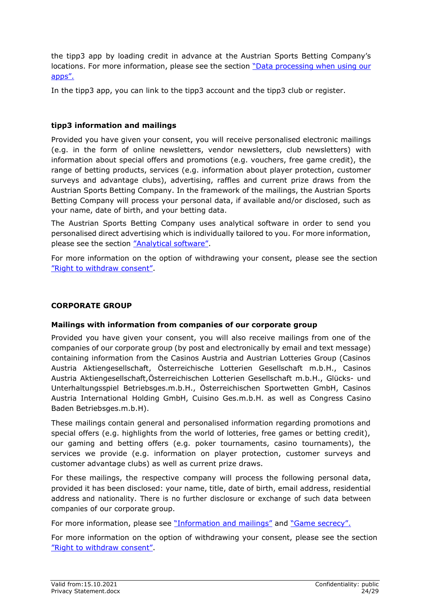the tipp3 app by loading credit in advance at the Austrian Sports Betting Company's locations. For more information, please see the section "Data processing when using our apps".

In the tipp3 app, you can link to the tipp3 account and the tipp3 club or register.

# <span id="page-23-0"></span>**tipp3 information and mailings**

Provided you have given your consent, you will receive personalised electronic mailings (e.g. in the form of online newsletters, vendor newsletters, club newsletters) with information about special offers and promotions (e.g. vouchers, free game credit), the range of betting products, services (e.g. information about player protection, customer surveys and advantage clubs), advertising, raffles and current prize draws from the Austrian Sports Betting Company. In the framework of the mailings, the Austrian Sports Betting Company will process your personal data, if available and/or disclosed, such as your name, date of birth, and your betting data.

The Austrian Sports Betting Company uses analytical software in order to send you personalised direct advertising which is individually tailored to you. For more information, please see the section "Analytical software".

For more information on the option of withdrawing your consent, please see the section "Right to withdraw consent".

# <span id="page-23-1"></span>**CORPORATE GROUP**

### <span id="page-23-2"></span>**Mailings with information from companies of our corporate group**

Provided you have given your consent, you will also receive mailings from one of the companies of our corporate group (by post and electronically by email and text message) containing information from the Casinos Austria and Austrian Lotteries Group (Casinos Austria Aktiengesellschaft, Österreichische Lotterien Gesellschaft m.b.H., Casinos Austria Aktiengesellschaft,Österreichischen Lotterien Gesellschaft m.b.H., Glücks- und Unterhaltungsspiel Betriebsges.m.b.H., Österreichischen Sportwetten GmbH, Casinos Austria International Holding GmbH, Cuisino Ges.m.b.H. as well as Congress Casino Baden Betriebsges.m.b.H).

These mailings contain general and personalised information regarding promotions and special offers (e.g. highlights from the world of lotteries, free games or betting credit), our gaming and betting offers (e.g. poker tournaments, casino tournaments), the services we provide (e.g. information on player protection, customer surveys and customer advantage clubs) as well as current prize draws.

For these mailings, the respective company will process the following personal data, provided it has been disclosed: your name, title, date of birth, email address, residential address and nationality. There is no further disclosure or exchange of such data between companies of our corporate group.

For more information, please see "Information and mailings" and "Game secrecy".

For more information on the option of withdrawing your consent, please see the section "Right to withdraw consent".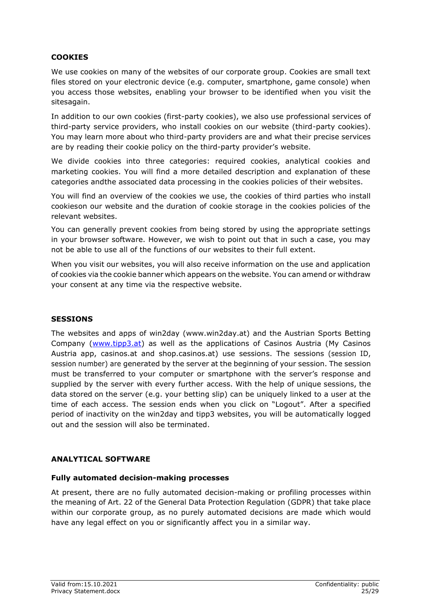# <span id="page-24-0"></span>**COOKIES**

We use cookies on many of the websites of our corporate group. Cookies are small text files stored on your electronic device (e.g. computer, smartphone, game console) when you access those websites, enabling your browser to be identified when you visit the sitesagain.

In addition to our own cookies (first-party cookies), we also use professional services of third-party service providers, who install cookies on our website (third-party cookies). You may learn more about who third-party providers are and what their precise services are by reading their cookie policy on the third-party provider's website.

We divide cookies into three categories: required cookies, analytical cookies and marketing cookies. You will find a more detailed description and explanation of these categories andthe associated data processing in the cookies policies of their websites.

You will find an overview of the cookies we use, the cookies of third parties who install cookies on our website and the duration of cookie storage in the cookies policies of the relevant websites.

You can generally prevent cookies from being stored by using the appropriate settings in your browser software. However, we wish to point out that in such a case, you may not be able to use all of the functions of our websites to their full extent.

When you visit our websites, you will also receive information on the use and application of cookies via the cookie banner which appears on the website. You can amend or withdraw your consent at any time via the respective website.

### <span id="page-24-1"></span>**SESSIONS**

The websites and apps of win2day (www.win2day.at) and the Austrian Sports Betting Company [\(www.tipp3.at\)](http://www.tipp3.at/) as well as the applications of Casinos Austria (My Casinos Austria app, casinos.at and shop.casinos.at) use sessions. The sessions (session ID, session number) are generated by the server at the beginning of your session. The session must be transferred to your computer or smartphone with the server's response and supplied by the server with every further access. With the help of unique sessions, the data stored on the server (e.g. your betting slip) can be uniquely linked to a user at the time of each access. The session ends when you click on "Logout". After a specified period of inactivity on the win2day and tipp3 websites, you will be automatically logged out and the session will also be terminated.

### <span id="page-24-2"></span>**ANALYTICAL SOFTWARE**

### <span id="page-24-3"></span>**Fully automated decision-making processes**

At present, there are no fully automated decision-making or profiling processes within the meaning of Art. 22 of the General Data Protection Regulation (GDPR) that take place within our corporate group, as no purely automated decisions are made which would have any legal effect on you or significantly affect you in a similar way.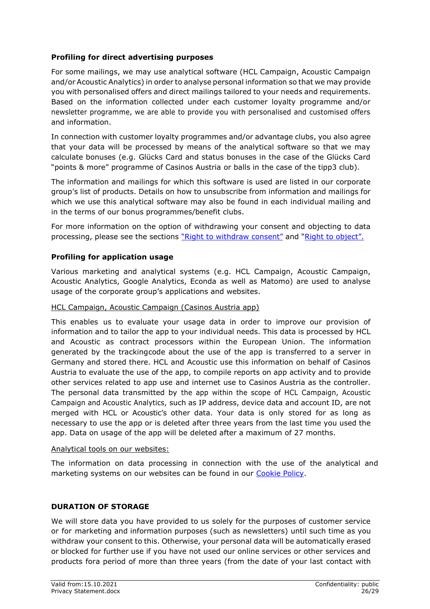# <span id="page-25-0"></span>**Profiling for direct advertising purposes**

For some mailings, we may use analytical software (HCL Campaign, Acoustic Campaign and/or Acoustic Analytics) in order to analyse personal information so that we may provide you with personalised offers and direct mailings tailored to your needs and requirements. Based on the information collected under each customer loyalty programme and/or newsletter programme, we are able to provide you with personalised and customised offers and information.

In connection with customer loyalty programmes and/or advantage clubs, you also agree that your data will be processed by means of the analytical software so that we may calculate bonuses (e.g. Glücks Card and status bonuses in the case of the Glücks Card "points & more" programme of Casinos Austria or balls in the case of the tipp3 club).

The information and mailings for which this software is used are listed in our corporate group's list of products. Details on how to unsubscribe from information and mailings for which we use this analytical software may also be found in each individual mailing and in the terms of our bonus programmes/benefit clubs.

For more information on the option of withdrawing your consent and objecting to data processing, please see the sections "Right to withdraw consent" and "Right to object".

# <span id="page-25-1"></span>**Profiling for application usage**

Various marketing and analytical systems (e.g. HCL Campaign, Acoustic Campaign, Acoustic Analytics, Google Analytics, Econda as well as Matomo) are used to analyse usage of the corporate group's applications and websites.

### HCL Campaign, Acoustic Campaign (Casinos Austria app)

This enables us to evaluate your usage data in order to improve our provision of information and to tailor the app to your individual needs. This data is processed by HCL and Acoustic as contract processors within the European Union. The information generated by the trackingcode about the use of the app is transferred to a server in Germany and stored there. HCL and Acoustic use this information on behalf of Casinos Austria to evaluate the use of the app, to compile reports on app activity and to provide other services related to app use and internet use to Casinos Austria as the controller. The personal data transmitted by the app within the scope of HCL Campaign, Acoustic Campaign and Acoustic Analytics, such as IP address, device data and account ID, are not merged with HCL or Acoustic's other data. Your data is only stored for as long as necessary to use the app or is deleted after three years from the last time you used the app. Data on usage of the app will be deleted after a maximum of 27 months.

### Analytical tools on our websites:

The information on data processing in connection with the use of the analytical and marketing systems on our websites can be found in our [Cookie Policy.](https://www.casinos.at/de/casinos-austria/unternehmen/cookie-richtlinie)

### <span id="page-25-2"></span>**DURATION OF STORAGE**

We will store data you have provided to us solely for the purposes of customer service or for marketing and information purposes (such as newsletters) until such time as you withdraw your consent to this. Otherwise, your personal data will be automatically erased or blocked for further use if you have not used our online services or other services and products fora period of more than three years (from the date of your last contact with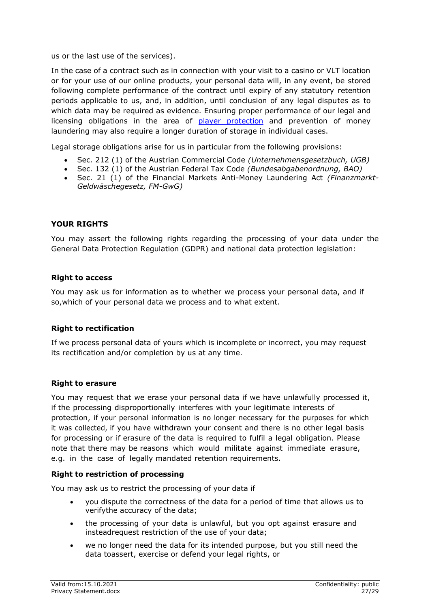us or the last use of the services).

In the case of a contract such as in connection with your visit to a casino or VLT location or for your use of our online products, your personal data will, in any event, be stored following complete performance of the contract until expiry of any statutory retention periods applicable to us, and, in addition, until conclusion of any legal disputes as to which data may be required as evidence. Ensuring proper performance of our legal and licensing obligations in the area of player protection and prevention of money laundering may also require a longer duration of storage in individual cases.

Legal storage obligations arise for us in particular from the following provisions:

- Sec. 212 (1) of the Austrian Commercial Code *(Unternehmensgesetzbuch, UGB)*
- Sec. 132 (1) of the Austrian Federal Tax Code *(Bundesabgabenordnung, BAO)*
- Sec. 21 (1) of the Financial Markets Anti-Money Laundering Act *(Finanzmarkt-Geldwäschegesetz, FM-GwG)*

### <span id="page-26-0"></span>**YOUR RIGHTS**

You may assert the following rights regarding the processing of your data under the General Data Protection Regulation (GDPR) and national data protection legislation:

#### **Right to access**

You may ask us for information as to whether we process your personal data, and if so,which of your personal data we process and to what extent.

#### **Right to rectification**

If we process personal data of yours which is incomplete or incorrect, you may request its rectification and/or completion by us at any time.

#### **Right to erasure**

You may request that we erase your personal data if we have unlawfully processed it, if the processing disproportionally interferes with your legitimate interests of protection, if your personal information is no longer necessary for the purposes for which it was collected, if you have withdrawn your consent and there is no other legal basis for processing or if erasure of the data is required to fulfil a legal obligation. Please note that there may be reasons which would militate against immediate erasure, e.g. in the case of legally mandated retention requirements.

#### **Right to restriction of processing**

You may ask us to restrict the processing of your data if

- you dispute the correctness of the data for a period of time that allows us to verifythe accuracy of the data;
- the processing of your data is unlawful, but you opt against erasure and insteadrequest restriction of the use of your data;
- we no longer need the data for its intended purpose, but you still need the data to assert, exercise or defend your legal rights, or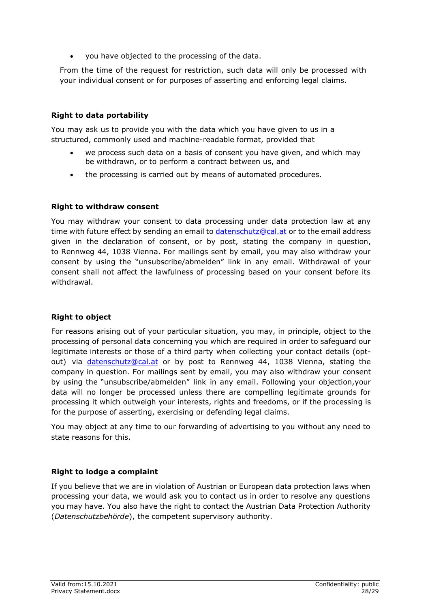you have objected to the processing of the data.

From the time of the request for restriction, such data will only be processed with your individual consent or for purposes of asserting and enforcing legal claims.

# <span id="page-27-0"></span>**Right to data portability**

You may ask us to provide you with the data which you have given to us in a structured, commonly used and machine-readable format, provided that

- we process such data on a basis of consent you have given, and which may be withdrawn, or to perform a contract between us, and
- the processing is carried out by means of automated procedures.

# <span id="page-27-1"></span>**Right to withdraw consent**

You may withdraw your consent to data processing under data protection law at any time with future effect by sending an email to [datenschutz@cal.at](mailto:datenschutz@cal.at) or to the email address given in the declaration of consent, or by post, stating the company in question, to Rennweg 44, 1038 Vienna. For mailings sent by email, you may also withdraw your consent by using the "unsubscribe/abmelden" link in any email. Withdrawal of your consent shall not affect the lawfulness of processing based on your consent before its withdrawal.

# <span id="page-27-2"></span>**Right to object**

For reasons arising out of your particular situation, you may, in principle, object to the processing of personal data concerning you which are required in order to safeguard our legitimate interests or those of a third party when collecting your contact details (optout) via [datenschutz@cal.at](mailto:datenschutz@cal.at) or by post to Rennweg 44, 1038 Vienna, stating the company in question. For mailings sent by email, you may also withdraw your consent by using the "unsubscribe/abmelden" link in any email. Following your objection,your data will no longer be processed unless there are compelling legitimate grounds for processing it which outweigh your interests, rights and freedoms, or if the processing is for the purpose of asserting, exercising or defending legal claims.

You may object at any time to our forwarding of advertising to you without any need to state reasons for this.

# <span id="page-27-3"></span>**Right to lodge a complaint**

If you believe that we are in violation of Austrian or European data protection laws when processing your data, we would ask you to contact us in order to resolve any questions you may have. You also have the right to contact the Austrian Data Protection Authority (*Datenschutzbehörde*), the competent supervisory authority.